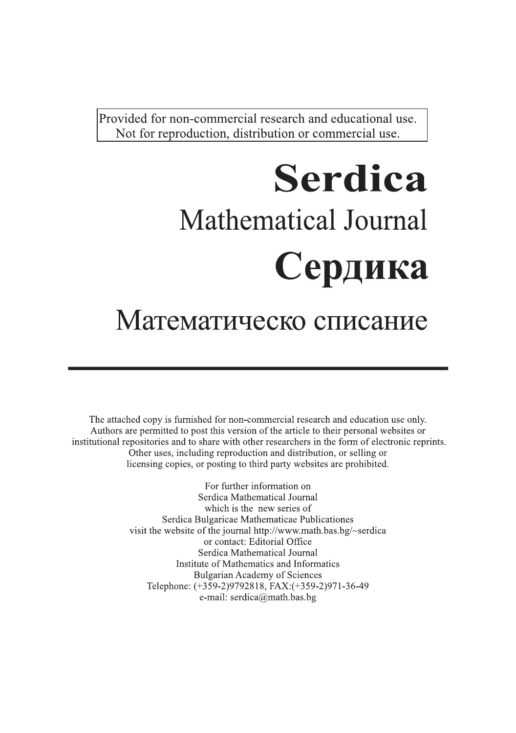Provided for non-commercial research and educational use. Not for reproduction, distribution or commercial use.

# **Serdica Mathematical Journal** Сердика

# Математическо списание

The attached copy is furnished for non-commercial research and education use only. Authors are permitted to post this version of the article to their personal websites or institutional repositories and to share with other researchers in the form of electronic reprints. Other uses, including reproduction and distribution, or selling or licensing copies, or posting to third party websites are prohibited.

> For further information on Serdica Mathematical Journal which is the new series of Serdica Bulgaricae Mathematicae Publicationes visit the website of the journal http://www.math.bas.bg/~serdica or contact: Editorial Office Serdica Mathematical Journal Institute of Mathematics and Informatics **Bulgarian Academy of Sciences** Telephone: (+359-2)9792818, FAX:(+359-2)971-36-49 e-mail: serdica@math.bas.bg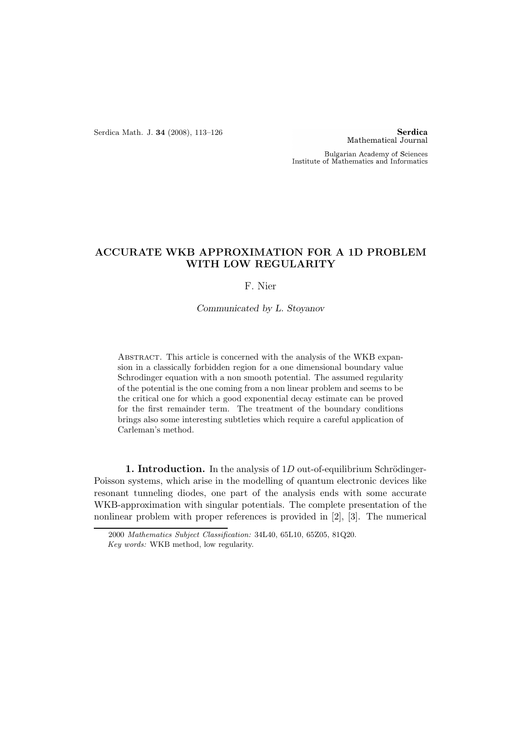Serdica Math. J. 34 (2008), 113–126

**Serdica** Mathematical Journal

Bulgarian Academy of Sciences Institute of Mathematics and Informatics

## ACCURATE WKB APPROXIMATION FOR A 1D PROBLEM WITH LOW REGULARITY

F. Nier

Communicated by L. Stoyanov

Abstract. This article is concerned with the analysis of the WKB expansion in a classically forbidden region for a one dimensional boundary value Schrodinger equation with a non smooth potential. The assumed regularity of the potential is the one coming from a non linear problem and seems to be the critical one for which a good exponential decay estimate can be proved for the first remainder term. The treatment of the boundary conditions brings also some interesting subtleties which require a careful application of Carleman's method.

1. Introduction. In the analysis of  $1D$  out-of-equilibrium Schrödinger-Poisson systems, which arise in the modelling of quantum electronic devices like resonant tunneling diodes, one part of the analysis ends with some accurate WKB-approximation with singular potentials. The complete presentation of the nonlinear problem with proper references is provided in [2], [3]. The numerical

<sup>2000</sup> Mathematics Subject Classification: 34L40, 65L10, 65Z05, 81Q20.

Key words: WKB method, low regularity.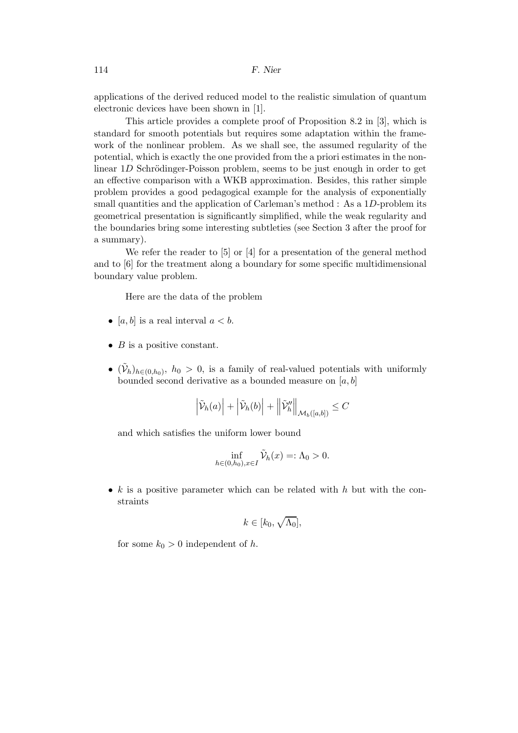applications of the derived reduced model to the realistic simulation of quantum electronic devices have been shown in [1].

This article provides a complete proof of Proposition 8.2 in [3], which is standard for smooth potentials but requires some adaptation within the framework of the nonlinear problem. As we shall see, the assumed regularity of the potential, which is exactly the one provided from the a priori estimates in the nonlinear  $1D$  Schrödinger-Poisson problem, seems to be just enough in order to get an effective comparison with a WKB approximation. Besides, this rather simple problem provides a good pedagogical example for the analysis of exponentially small quantities and the application of Carleman's method : As a 1D-problem its geometrical presentation is significantly simplified, while the weak regularity and the boundaries bring some interesting subtleties (see Section 3 after the proof for a summary).

We refer the reader to [5] or [4] for a presentation of the general method and to [6] for the treatment along a boundary for some specific multidimensional boundary value problem.

Here are the data of the problem

- [a, b] is a real interval  $a < b$ .
- $B$  is a positive constant.
- $(\tilde{\mathcal{V}}_h)_{h \in (0,h_0)}$ ,  $h_0 > 0$ , is a family of real-valued potentials with uniformly bounded second derivative as a bounded measure on  $[a, b]$

$$
\left| \tilde{\mathcal{V}}_h(a) \right| + \left| \tilde{\mathcal{V}}_h(b) \right| + \left\| \tilde{\mathcal{V}}_h'' \right\|_{\mathcal{M}_b([a,b])} \leq C
$$

and which satisfies the uniform lower bound

$$
\inf_{h \in (0,h_0), x \in I} \tilde{\mathcal{V}}_h(x) =: \Lambda_0 > 0.
$$

•  $k$  is a positive parameter which can be related with h but with the constraints

$$
k\in[k_0,\sqrt{\Lambda_0}],
$$

for some  $k_0 > 0$  independent of h.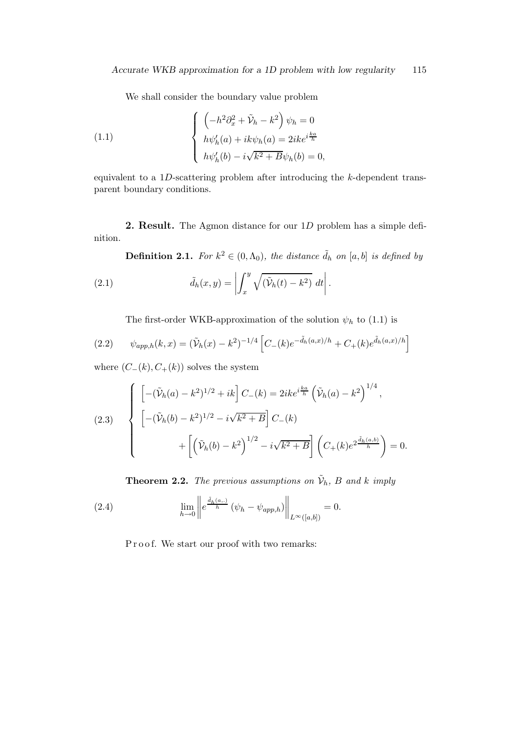We shall consider the boundary value problem

(1.1) 
$$
\begin{cases} \left(-h^2\partial_x^2 + \tilde{V}_h - k^2\right)\psi_h = 0\\ h\psi'_h(a) + ik\psi_h(a) = 2ike^{i\frac{ka}{h}}\\ h\psi'_h(b) - i\sqrt{k^2 + B}\psi_h(b) = 0, \end{cases}
$$

equivalent to a  $1D$ -scattering problem after introducing the k-dependent transparent boundary conditions.

**2. Result.** The Agmon distance for our  $1D$  problem has a simple definition.

**Definition 2.1.** For  $k^2 \in (0, \Lambda_0)$ , the distance  $\tilde{d}_h$  on  $[a, b]$  is defined by

(2.1) 
$$
\tilde{d}_h(x,y) = \left| \int_x^y \sqrt{(\tilde{\mathcal{V}}_h(t) - k^2)} dt \right|.
$$

The first-order WKB-approximation of the solution  $\psi_h$  to (1.1) is

(2.2) 
$$
\psi_{app,h}(k,x) = (\tilde{\mathcal{V}}_h(x) - k^2)^{-1/4} \left[ C_-(k) e^{-\tilde{d}_h(a,x)/h} + C_+(k) e^{\tilde{d}_h(a,x)/h} \right]
$$

where  $(C_-(k), C_+(k))$  solves the system

(2.3) 
$$
\begin{cases} \left[ -(\tilde{\mathcal{V}}_h(a) - k^2)^{1/2} + ik \right] C_-(k) = 2ike^{i\frac{ka}{h}} \left( \tilde{\mathcal{V}}_h(a) - k^2 \right)^{1/4}, \\ \left[ -(\tilde{\mathcal{V}}_h(b) - k^2)^{1/2} - i\sqrt{k^2 + B} \right] C_-(k) \\ + \left[ \left( \tilde{\mathcal{V}}_h(b) - k^2 \right)^{1/2} - i\sqrt{k^2 + B} \right] \left( C_+(k)e^{2\frac{\tilde{d}_h(a,b)}{h}} \right) = 0. \end{cases}
$$

**Theorem 2.2.** The previous assumptions on  $\tilde{\mathcal{V}}_h$ , B and k imply

(2.4) 
$$
\lim_{h \to 0} \left\| e^{\frac{\tilde{d}_h(a,.)}{h}} (\psi_h - \psi_{app,h}) \right\|_{L^{\infty}([a,b])} = 0.
$$

Proof. We start our proof with two remarks: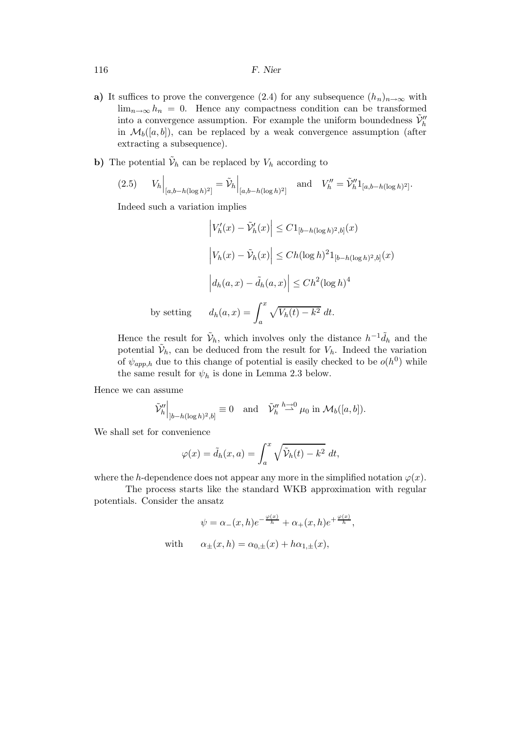116 F. Nier

- a) It suffices to prove the convergence (2.4) for any subsequence  $(h_n)_{n\to\infty}$  with  $\lim_{n\to\infty} h_n = 0$ . Hence any compactness condition can be transformed into a convergence assumption. For example the uniform boundedness  $\tilde{\mathcal{V}}_h^{\prime\prime}$ in  $\mathcal{M}_{b}([a, b])$ , can be replaced by a weak convergence assumption (after extracting a subsequence).
- **b**) The potential  $\tilde{\mathcal{V}}_h$  can be replaced by  $V_h$  according to

$$
(2.5) \tV_h\Big|_{[a,b-h(\log h)^2]} = \tilde{\mathcal{V}}_h\Big|_{[a,b-h(\log h)^2]} \text{ and } V_h'' = \tilde{\mathcal{V}}_h'' 1_{[a,b-h(\log h)^2]}.
$$

Indeed such a variation implies

$$
\left|V'_h(x) - \tilde{V}'_h(x)\right| \le C1_{[b-h(\log h)^2, b]}(x)
$$

$$
\left|V_h(x) - \tilde{V}_h(x)\right| \le Ch(\log h)^2 1_{[b-h(\log h)^2, b]}(x)
$$

$$
\left|d_h(a, x) - \tilde{d}_h(a, x)\right| \le Ch^2(\log h)^4
$$
by setting 
$$
d_h(a, x) = \int_a^x \sqrt{V_h(t) - k^2} dt.
$$

Hence the result for  $\tilde{\mathcal{V}}_h$ , which involves only the distance  $h^{-1}\tilde{d}_h$  and the potential  $\tilde{\mathcal{V}}_h$ , can be deduced from the result for  $V_h$ . Indeed the variation of  $\psi_{app,h}$  due to this change of potential is easily checked to be  $o(h^0)$  while the same result for  $\psi_h$  is done in Lemma 2.3 below.

Hence we can assume

$$
\widetilde{\mathcal{V}}_h''\Big|_{]b-h(\log h)^2,b]} \equiv 0 \quad \text{and} \quad \widetilde{\mathcal{V}}_h'' \stackrel{h\to 0}{\rightharpoonup} \mu_0 \text{ in } \mathcal{M}_b([a,b]).
$$

We shall set for convenience

$$
\varphi(x) = \tilde{d}_h(x, a) = \int_a^x \sqrt{\tilde{\mathcal{V}}_h(t) - k^2} dt,
$$

where the h-dependence does not appear any more in the simplified notation  $\varphi(x)$ .

The process starts like the standard WKB approximation with regular potentials. Consider the ansatz

$$
\psi = \alpha_{-}(x, h)e^{-\frac{\varphi(x)}{h}} + \alpha_{+}(x, h)e^{+\frac{\varphi(x)}{h}},
$$
  
with 
$$
\alpha_{\pm}(x, h) = \alpha_{0,\pm}(x) + h\alpha_{1,\pm}(x),
$$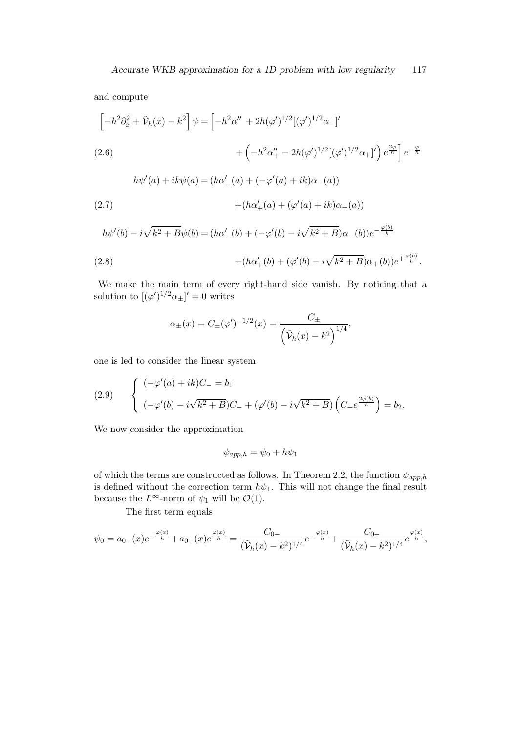and compute

$$
\[ -h^2 \partial_x^2 + \tilde{\mathcal{V}}_h(x) - k^2 \] \psi = \left[ -h^2 \alpha''_- + 2h(\varphi')^{1/2} [(\varphi')^{1/2} \alpha_-]' \right.
$$
  
(2.6)  

$$
+ \left( -h^2 \alpha''_+ - 2h(\varphi')^{1/2} [(\varphi')^{1/2} \alpha_+]' \right) e^{\frac{2\varphi}{h}} \] e^{-\frac{\varphi}{h}}
$$
  

$$
h\psi'(a) + ik\psi(a) = (h\alpha'_-(a) + (-\varphi'(a) + ik)\alpha_-(a))
$$

(2.7) 
$$
+(h\alpha'_{+}(a) + (\varphi'(a) + ik)\alpha_{+}(a))
$$

$$
h\psi'(b) - i\sqrt{k^2 + B}\psi(b) = (h\alpha'_{-}(b) + (-\varphi'(b) - i\sqrt{k^2 + B})\alpha_{-}(b))e^{-\frac{\varphi(b)}{h}}
$$
  
(2.8)  

$$
+ (h\alpha'_{+}(b) + (\varphi'(b) - i\sqrt{k^2 + B})\alpha_{+}(b))e^{+\frac{\varphi(b)}{h}}.
$$

We make the main term of every right-hand side vanish. By noticing that a solution to  $[(\varphi')^{1/2} \alpha_{\pm}]' = 0$  writes

$$
\alpha_{\pm}(x) = C_{\pm}(\varphi')^{-1/2}(x) = \frac{C_{\pm}}{\left(\tilde{\mathcal{V}}_h(x) - k^2\right)^{1/4}},
$$

one is led to consider the linear system

(2.9) 
$$
\begin{cases} (-\varphi'(a) + ik)C_{-} = b_1 \\ (-\varphi'(b) - i\sqrt{k^2 + B})C_{-} + (\varphi'(b) - i\sqrt{k^2 + B}) \left(C_{+}e^{\frac{2\varphi(b)}{h}}\right) = b_2. \end{cases}
$$

We now consider the approximation

$$
\psi_{app,h} = \psi_0 + h\psi_1
$$

of which the terms are constructed as follows. In Theorem 2.2, the function  $\psi_{app,h}$ is defined without the correction term  $h\psi_1$ . This will not change the final result because the  $L^{\infty}$ -norm of  $\psi_1$  will be  $\mathcal{O}(1)$ .

The first term equals

$$
\psi_0 = a_0(x)e^{-\frac{\varphi(x)}{h}} + a_0(x)e^{\frac{\varphi(x)}{h}} = \frac{C_0}{(\tilde{\mathcal{V}}_h(x) - k^2)^{1/4}}e^{-\frac{\varphi(x)}{h}} + \frac{C_0}{(\tilde{\mathcal{V}}_h(x) - k^2)^{1/4}}e^{\frac{\varphi(x)}{h}},
$$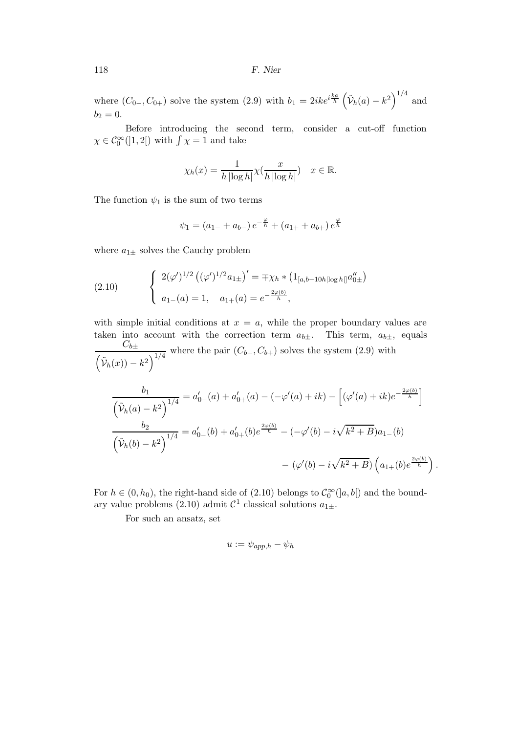where  $(C_{0-}, C_{0+})$  solve the system  $(2.9)$  with  $b_1 = 2ike^{i\frac{ka}{h}} \left(\tilde{\mathcal{V}}_h(a) - k^2\right)^{1/4}$  and  $b_2 = 0.$ 

Before introducing the second term, consider a cut-off function  $\chi \in C_0^{\infty}(]1, 2[)$  with  $\int \chi = 1$  and take

$$
\chi_h(x) = \frac{1}{h \left| \log h \right|} \chi(\frac{x}{h \left| \log h \right|}) \quad x \in \mathbb{R}.
$$

The function  $\psi_1$  is the sum of two terms

$$
\psi_1 = (a_{1-} + a_{b-}) e^{-\frac{\varphi}{h}} + (a_{1+} + a_{b+}) e^{\frac{\varphi}{h}}
$$

where  $a_{1\pm}$  solves the Cauchy problem

(2.10) 
$$
\begin{cases} 2(\varphi')^{1/2} ((\varphi')^{1/2} a_{1\pm})' = \mp \chi_h * (1_{[a,b-10h|\log h|]} a_{0\pm}'') \\ a_{1-}(a) = 1, \quad a_{1+}(a) = e^{-\frac{2\varphi(b)}{h}}, \end{cases}
$$

with simple initial conditions at  $x = a$ , while the proper boundary values are taken into account with the correction term  $a_{b\pm}$ . This term,  $a_{b\pm}$ , equals  $C_{b\pm}$  $\frac{C_{b\pm}}{(\tilde{\nu}_h(x))-k^2}$  where the pair  $(C_{b-}, C_{b+})$  solves the system (2.9) with

$$
\frac{b_1}{\left(\tilde{\mathcal{V}}_h(a) - k^2\right)^{1/4}} = a'_0 - (a) + a'_0 + (a) - (-\varphi'(a) + ik) - \left[ (\varphi'(a) + ik)e^{-\frac{2\varphi(b)}{h}} \right]
$$

$$
\frac{b_2}{\left(\tilde{\mathcal{V}}_h(b) - k^2\right)^{1/4}} = a'_0 - (b) + a'_0 + (b)e^{\frac{2\varphi(b)}{h}} - (-\varphi'(b) - i\sqrt{k^2 + B})a_1 - (b)
$$

$$
- (\varphi'(b) - i\sqrt{k^2 + B})\left(a_1 + (b)e^{\frac{2\varphi(b)}{h}}\right).
$$

For  $h \in (0, h_0)$ , the right-hand side of (2.10) belongs to  $\mathcal{C}_0^{\infty}([a, b])$  and the boundary value problems (2.10) admit  $\mathcal{C}^1$  classical solutions  $a_{1\pm}$ .

For such an ansatz, set

$$
u:=\psi_{app,h}-\psi_h
$$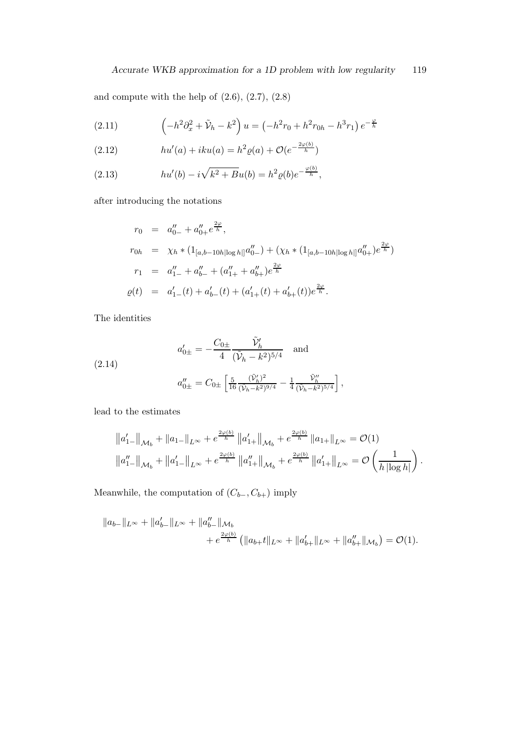and compute with the help of (2.6), (2.7), (2.8)

(2.11) 
$$
\left(-h^2\partial_x^2 + \tilde{V}_h - k^2\right)u = \left(-h^2r_0 + h^2r_{0h} - h^3r_1\right)e^{-\frac{\varphi}{h}}
$$

(2.12) 
$$
hu'(a) + iku(a) = h^2 \varrho(a) + \mathcal{O}(e^{-\frac{2\varphi(b)}{h}})
$$

(2.13) 
$$
hu'(b) - i\sqrt{k^2 + Bu(b)} = h^2 \varrho(b) e^{-\frac{\varphi(b)}{h}},
$$

after introducing the notations

$$
r_0 = a''_{0-} + a''_{0+} e^{\frac{2\varphi}{h}},
$$
  
\n
$$
r_{0h} = \chi_h * (1_{[a,b-10h|\log h|]} a''_{0-}) + (\chi_h * (1_{[a,b-10h|\log h|]} a''_{0+}) e^{\frac{2\varphi}{h}})
$$
  
\n
$$
r_1 = a''_{1-} + a''_{b-} + (a''_{1+} + a''_{b+}) e^{\frac{2\varphi}{h}}
$$
  
\n
$$
\varrho(t) = a'_{1-}(t) + a'_{b-}(t) + (a'_{1+}(t) + a'_{b+}(t)) e^{\frac{2\varphi}{h}}.
$$

The identities

(2.14)  

$$
a'_{0\pm} = -\frac{C_{0\pm}}{4} \frac{\tilde{\mathcal{V}}'_h}{(\tilde{\mathcal{V}}_h - k^2)^{5/4}} \text{ and}
$$

$$
a''_{0\pm} = C_{0\pm} \left[ \frac{5}{16} \frac{(\tilde{\mathcal{V}}'_h)^2}{(\tilde{\mathcal{V}}_h - k^2)^{9/4}} - \frac{1}{4} \frac{\tilde{\mathcal{V}}''_h}{(\tilde{\mathcal{V}}_h - k^2)^{5/4}} \right],
$$

lead to the estimates

$$
||a'_{1-}||_{\mathcal{M}_b} + ||a_{1-}||_{L^{\infty}} + e^{\frac{2\varphi(b)}{h}} ||a'_{1+}||_{\mathcal{M}_b} + e^{\frac{2\varphi(b)}{h}} ||a_{1+}||_{L^{\infty}} = \mathcal{O}(1)
$$
  

$$
||a''_{1-}||_{\mathcal{M}_b} + ||a'_{1-}||_{L^{\infty}} + e^{\frac{2\varphi(b)}{h}} ||a''_{1+}||_{\mathcal{M}_b} + e^{\frac{2\varphi(b)}{h}} ||a'_{1+}||_{L^{\infty}} = \mathcal{O}\left(\frac{1}{h |\log h|}\right).
$$

Meanwhile, the computation of  $(C_{b-}, C_{b+})$  imply

$$
||a_{b-}||_{L^{\infty}} + ||a'_{b-}||_{L^{\infty}} + ||a''_{b-}||_{\mathcal{M}_b}
$$
  
+  $e^{\frac{2\varphi(b)}{h}} (||a_{b+}t||_{L^{\infty}} + ||a'_{b+}||_{L^{\infty}} + ||a''_{b+}||_{\mathcal{M}_b}) = \mathcal{O}(1).$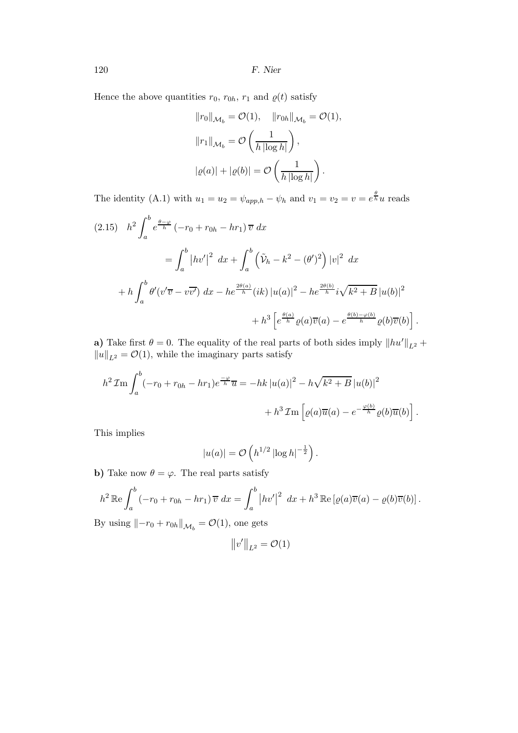120 F. Nier

Hence the above quantities  $r_0$ ,  $r_{0h}$ ,  $r_1$  and  $\varrho(t)$  satisfy

$$
||r_0||_{\mathcal{M}_b} = \mathcal{O}(1), \quad ||r_{0h}||_{\mathcal{M}_b} = \mathcal{O}(1),
$$
  

$$
||r_1||_{\mathcal{M}_b} = \mathcal{O}\left(\frac{1}{h \left|\log h\right|}\right),
$$
  

$$
|\varrho(a)| + |\varrho(b)| = \mathcal{O}\left(\frac{1}{h \left|\log h\right|}\right).
$$

The identity (A.1) with  $u_1 = u_2 = \psi_{app,h} - \psi_h$  and  $v_1 = v_2 = v = e^{\frac{\theta}{h}}u$  reads

$$
(2.15) \quad h^2 \int_a^b e^{\frac{\theta - \varphi}{h}} (-r_0 + r_{0h} - hr_1) \, \overline{v} \, dx
$$
  
=  $\int_a^b |hv'|^2 \, dx + \int_a^b (\tilde{\mathcal{V}}_h - k^2 - (\theta')^2) |v|^2 \, dx$   
+  $h \int_a^b \theta'(v' \overline{v} - v \overline{v'}) \, dx - he^{\frac{2\theta(a)}{h}} (ik) |u(a)|^2 - he^{\frac{2\theta(b)}{h}} i \sqrt{k^2 + B} |u(b)|^2$   
+  $h^3 \left[ e^{\frac{\theta(a)}{h}} \varrho(a) \overline{v}(a) - e^{\frac{\theta(b) - \varphi(b)}{h}} \varrho(b) \overline{v}(b) \right].$ 

a) Take first  $\theta = 0$ . The equality of the real parts of both sides imply  $||hu'||_{L^2}$  +  $||u||_{L^2} = \mathcal{O}(1)$ , while the imaginary parts satisfy

$$
h^{2} \mathcal{I} \text{m} \int_{a}^{b} (-r_{0} + r_{0h} - hr_{1}) e^{\frac{-\varphi}{h}} \overline{u} = -hk |u(a)|^{2} - h\sqrt{k^{2} + B} |u(b)|^{2} + h^{3} \mathcal{I} \text{m} \left[ \varrho(a) \overline{u}(a) - e^{-\frac{\varphi(b)}{h}} \varrho(b) \overline{u}(b) \right].
$$

This implies

$$
|u(a)| = \mathcal{O}\left(h^{1/2} \left|\log h\right|^{-\frac{1}{2}}\right).
$$

b) Take now  $\theta = \varphi$ . The real parts satisfy

$$
h^2 \operatorname{Re} \int_a^b \left(-r_0 + r_{0h} - hr_1\right) \overline{v} \, dx = \int_a^b \left| hv' \right|^2 \, dx + h^3 \operatorname{Re} \left[ \varrho(a) \overline{v}(a) - \varrho(b) \overline{v}(b) \right].
$$

By using  $\|-r_0 + r_{0h}\|_{\mathcal{M}_b} = \mathcal{O}(1)$ , one gets

$$
||v'||_{L^2} = \mathcal{O}(1)
$$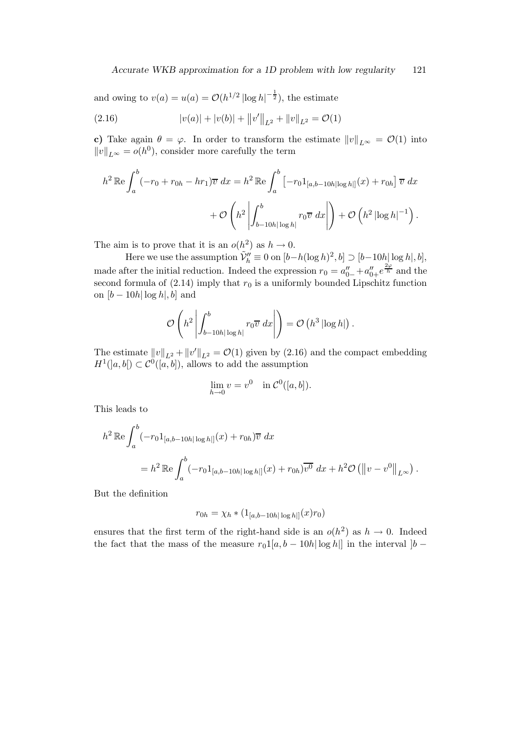and owing to  $v(a) = u(a) = \mathcal{O}(h^{1/2} |\log h|^{-\frac{1}{2}})$ , the estimate

(2.16) 
$$
|v(a)| + |v(b)| + ||v'||_{L^2} + ||v||_{L^2} = \mathcal{O}(1)
$$

c) Take again  $\theta = \varphi$ . In order to transform the estimate  $||v||_{L^{\infty}} = \mathcal{O}(1)$  into  $||v||_{L^{\infty}} = o(h^0)$ , consider more carefully the term

$$
h^{2} \mathbb{R}e \int_{a}^{b} (-r_{0} + r_{0h} - hr_{1}) \overline{v} dx = h^{2} \mathbb{R}e \int_{a}^{b} \left[ -r_{0} 1_{[a,b-10h|\log h|]}(x) + r_{0h} \right] \overline{v} dx
$$

$$
+ \mathcal{O}\left(h^{2} \left| \int_{b-10h|\log h|}^{b} r_{0} \overline{v} dx \right| \right) + \mathcal{O}\left(h^{2} |\log h|^{-1}\right).
$$

The aim is to prove that it is an  $o(h^2)$  as  $h \to 0$ .

Here we use the assumption  $\tilde{\mathcal{V}}_h^{\prime\prime} \equiv 0$  on  $[b-h(\log h)^2, b] \supset [b-10h] \log h, b],$ made after the initial reduction. Indeed the expression  $r_0 = a_{0-}'' + a_{0+}''e^{\frac{2\varphi}{h}}$  and the second formula of  $(2.14)$  imply that  $r_0$  is a uniformly bounded Lipschitz function on  $[b - 10h | \log h, b]$  and

$$
\mathcal{O}\left(h^2 \left| \int_{b-10h|\log h|}^b r_0 \overline{v} \, dx \right| \right) = \mathcal{O}\left(h^3 \left| \log h \right| \right).
$$

The estimate  $||v||_{L^2} + ||v'||_{L^2} = \mathcal{O}(1)$  given by (2.16) and the compact embedding  $H^1(|a,b|) \subset \mathcal{C}^0([a,b])$ , allows to add the assumption

$$
\lim_{h \to 0} v = v^0 \quad \text{in } C^0([a, b]).
$$

This leads to

$$
h^{2} \mathbb{R}e \int_{a}^{b} (-r_{0}1_{[a,b-10h|\log h|]}(x) + r_{0h}) \overline{v} dx
$$
  
=  $h^{2} \mathbb{R}e \int_{a}^{b} (-r_{0}1_{[a,b-10h|\log h|]}(x) + r_{0h}) \overline{v^{0}} dx + h^{2} \mathcal{O} (||v-v^{0}||_{L^{\infty}}).$ 

But the definition

$$
r_{0h} = \chi_h * (1_{[a,b-10h|\log h|]}(x)r_0)
$$

ensures that the first term of the right-hand side is an  $o(h^2)$  as  $h \to 0$ . Indeed the fact that the mass of the measure  $r_01[a, b - 10h | \log h]$  in the interval  $|b -$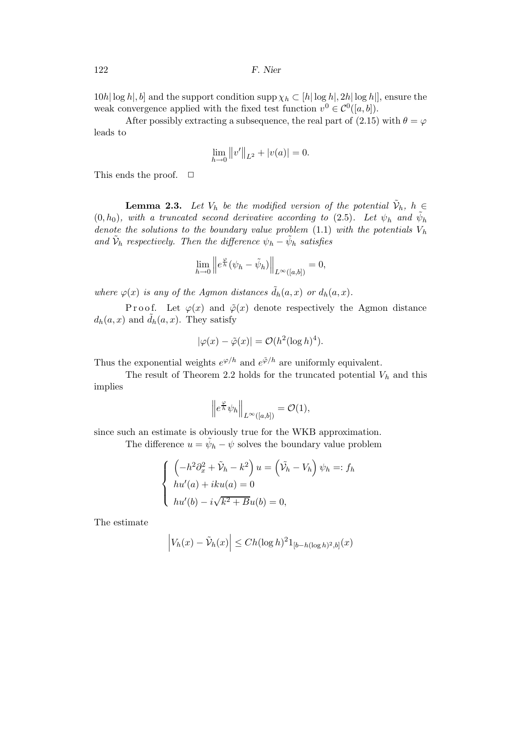$10h|\log h|$ , b and the support condition supp $\chi_h \subset [h|\log h|, 2h|\log h|]$ , ensure the weak convergence applied with the fixed test function  $v^0 \in C^0([a, b])$ .

After possibly extracting a subsequence, the real part of (2.15) with  $\theta = \varphi$ leads to

$$
\lim_{h \to 0} ||v'||_{L^2} + |v(a)| = 0.
$$

This ends the proof.  $\Box$ 

**Lemma 2.3.** Let  $V_h$  be the modified version of the potential  $\tilde{V}_h$ ,  $h \in$  $(0, h_0)$ , with a truncated second derivative according to  $(2.5)$ . Let  $\psi_h$  and  $\tilde{\psi}_h$ denote the solutions to the boundary value problem (1.1) with the potentials  $V_h$ and  $\tilde{\mathcal{V}}_h$  respectively. Then the difference  $\psi_h - \tilde{\psi}_h$  satisfies

$$
\lim_{h \to 0} \left\| e^{\frac{\varphi}{h}} (\psi_h - \tilde{\psi}_h) \right\|_{L^{\infty}([a,b])} = 0,
$$

where  $\varphi(x)$  is any of the Agmon distances  $\tilde{d}_h(a,x)$  or  $d_h(a,x)$ .

Proof. Let  $\varphi(x)$  and  $\tilde{\varphi}(x)$  denote respectively the Agmon distance  $d_h(a, x)$  and  $\tilde{d}_h(a, x)$ . They satisfy

$$
|\varphi(x) - \tilde{\varphi}(x)| = \mathcal{O}(h^2(\log h)^4).
$$

Thus the exponential weights  $e^{\varphi/h}$  and  $e^{\tilde{\varphi}/h}$  are uniformly equivalent.

The result of Theorem 2.2 holds for the truncated potential  $V_h$  and this implies

$$
\left\|e^{\frac{\varphi}{h}}\psi_h\right\|_{L^{\infty}([a,b])}=\mathcal{O}(1),
$$

since such an estimate is obviously true for the WKB approximation.

The difference  $u = \tilde{\psi}_h - \psi$  solves the boundary value problem

$$
\begin{cases}\n\left(-h^2 \partial_x^2 + \tilde{\mathcal{V}}_h - k^2\right) u = \left(\tilde{\mathcal{V}}_h - V_h\right) \psi_h =: f_h \\
hu'(a) + iku(a) = 0 \\
hu'(b) - i\sqrt{k^2 + Bu(b)} = 0,\n\end{cases}
$$

The estimate

$$
\left| V_h(x) - \tilde{V}_h(x) \right| \le Ch(\log h)^2 1_{[b-h(\log h)^2, b]}(x)
$$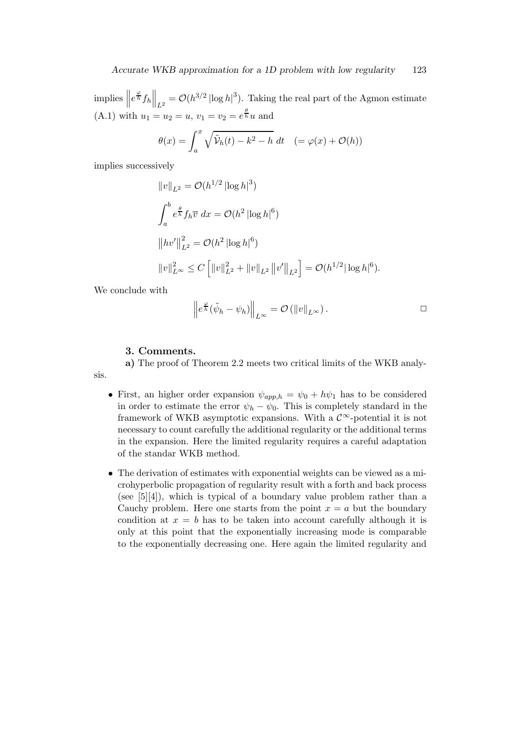implies  $\left\|e^{\frac{\varphi}{h}}f_h\right\|_{L^2} = \mathcal{O}(h^{3/2} |\log h|^3)$ . Taking the real part of the Agmon estimate (A.1) with  $u_1 = u_2 = u$ ,  $v_1 = v_2 = e^{\frac{\theta}{h}} u$  and

$$
\theta(x) = \int_a^x \sqrt{\tilde{\mathcal{V}}_h(t) - k^2 - h} dt \quad (= \varphi(x) + \mathcal{O}(h))
$$

implies successively

$$
||v||_{L^2} = O(h^{1/2} |\log h|^3)
$$
  

$$
\int_a^b e^{\frac{\theta}{h}} f_h \overline{v} \, dx = O(h^2 |\log h|^6)
$$
  

$$
||hv'||_{L^2}^2 = O(h^2 |\log h|^6)
$$
  

$$
||v||_{L^\infty}^2 \le C \left[ ||v||_{L^2}^2 + ||v||_{L^2} ||v'||_{L^2} \right] = O(h^{1/2} |\log h|^6).
$$

We conclude with

$$
\left\| e^{\frac{\varphi}{h}} (\tilde{\psi}_h - \psi_h) \right\|_{L^{\infty}} = \mathcal{O} \left( \|v\|_{L^{\infty}} \right).
$$

### 3. Comments.

a) The proof of Theorem 2.2 meets two critical limits of the WKB analysis.

- First, an higher order expansion  $\psi_{app,h} = \psi_0 + h\psi_1$  has to be considered in order to estimate the error  $\psi_h - \psi_0$ . This is completely standard in the framework of WKB asymptotic expansions. With a  $\mathcal{C}^{\infty}$ -potential it is not necessary to count carefully the additional regularity or the additional terms in the expansion. Here the limited regularity requires a careful adaptation of the standar WKB method.
- The derivation of estimates with exponential weights can be viewed as a microhyperbolic propagation of regularity result with a forth and back process (see  $[5][4]$ ), which is typical of a boundary value problem rather than a Cauchy problem. Here one starts from the point  $x = a$  but the boundary condition at  $x = b$  has to be taken into account carefully although it is only at this point that the exponentially increasing mode is comparable to the exponentially decreasing one. Here again the limited regularity and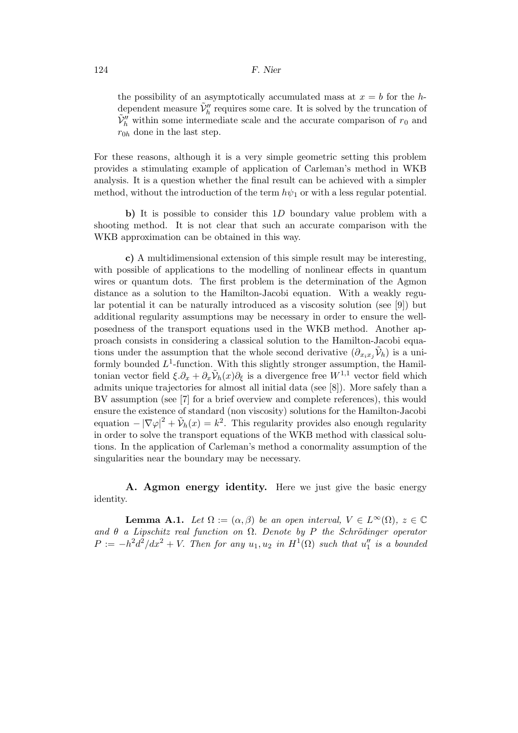the possibility of an asymptotically accumulated mass at  $x = b$  for the hdependent measure  $\tilde{\mathcal{V}}_h^{\prime\prime}$  requires some care. It is solved by the truncation of  $\tilde{V}_h''$  within some intermediate scale and the accurate comparison of  $r_0$  and  $r_{0h}$  done in the last step.

For these reasons, although it is a very simple geometric setting this problem provides a stimulating example of application of Carleman's method in WKB analysis. It is a question whether the final result can be achieved with a simpler method, without the introduction of the term  $h\psi_1$  or with a less regular potential.

b) It is possible to consider this 1D boundary value problem with a shooting method. It is not clear that such an accurate comparison with the WKB approximation can be obtained in this way.

c) A multidimensional extension of this simple result may be interesting, with possible of applications to the modelling of nonlinear effects in quantum wires or quantum dots. The first problem is the determination of the Agmon distance as a solution to the Hamilton-Jacobi equation. With a weakly regular potential it can be naturally introduced as a viscosity solution (see [9]) but additional regularity assumptions may be necessary in order to ensure the wellposedness of the transport equations used in the WKB method. Another approach consists in considering a classical solution to the Hamilton-Jacobi equations under the assumption that the whole second derivative  $(\partial_{x_ix_j}\tilde{V}_h)$  is a uniformly bounded  $L^1$ -function. With this slightly stronger assumption, the Hamiltonian vector field  $\xi \cdot \partial_x + \partial_x \tilde{V}_h(x) \partial_\xi$  is a divergence free  $W^{1,1}$  vector field which admits unique trajectories for almost all initial data (see [8]). More safely than a BV assumption (see [7] for a brief overview and complete references), this would ensure the existence of standard (non viscosity) solutions for the Hamilton-Jacobi equation  $-|\nabla \varphi|^2 + \tilde{\mathcal{V}}_h(x) = k^2$ . This regularity provides also enough regularity in order to solve the transport equations of the WKB method with classical solutions. In the application of Carleman's method a conormality assumption of the singularities near the boundary may be necessary.

A. Agmon energy identity. Here we just give the basic energy identity.

**Lemma A.1.** Let  $\Omega := (\alpha, \beta)$  be an open interval,  $V \in L^{\infty}(\Omega)$ ,  $z \in \mathbb{C}$ and  $\theta$  a Lipschitz real function on  $\Omega$ . Denote by P the Schrödinger operator  $P := -h^2 d^2/dx^2 + V$ . Then for any  $u_1, u_2$  in  $H^1(\Omega)$  such that  $u''_1$  is a bounded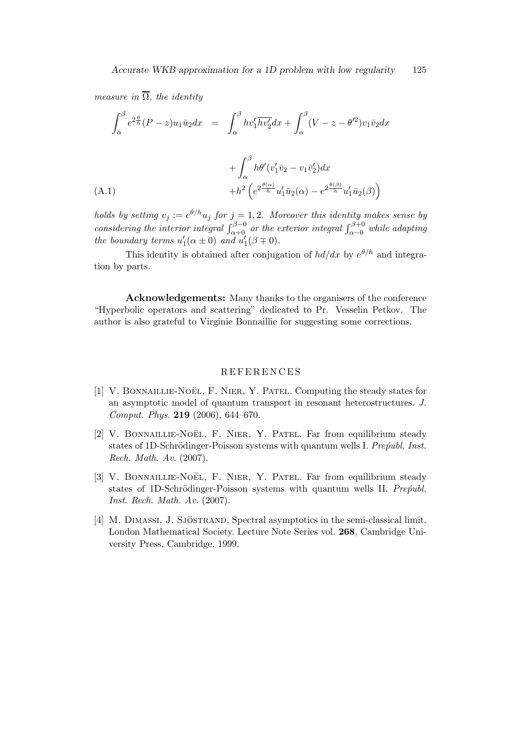measure in  $\overline{\Omega}$ , the identity

$$
\int_{\alpha}^{\beta} e^{2\frac{\theta}{h}} (P-z) u_1 \bar{u}_2 dx = \int_{\alpha}^{\beta} h v_1' \overline{h v_2'} dx + \int_{\alpha}^{\beta} (V-z - \theta'^2) v_1 \bar{v}_2 dx
$$

$$
+\int_{\alpha}^{\beta} h\theta'(v'_1\bar{v}_2 - v_1\bar{v}'_2)dx +h^2\left(e^{2\frac{\theta(\alpha)}{h}}u'_1\bar{u}_2(\alpha) - e^{2\frac{\theta(\beta)}{h}}u'_1\bar{u}_2(\beta)\right)
$$

holds by setting  $v_j := e^{\theta/h} u_j$  for  $j = 1, 2$ . Moreover this identity makes sense by considering the interior integral  $\int_{\alpha+0}^{\beta-0}$  or the exterior integral  $\int_{\alpha-0}^{\beta+0}$  while adapting the boundary terms  $u'_1(\alpha \pm 0)$  and  $u'_1(\beta \mp 0)$ .

This identity is obtained after conjugation of  $hd/dx$  by  $e^{\theta/h}$  and integration by parts.

Acknowledgements: Many thanks to the organisers of the conference "Hyperbolic operators and scattering" dedicated to Pr. Vesselin Petkov. The author is also grateful to Virginie Bonnaillie for suggesting some corrections.

#### R EFE R E N C ES

- [1] V. BONNAILLIE-NOËL, F. NIER, Y. PATEL. Computing the steady states for an asymptotic model of quantum transport in resonant heterostructures. J. Comput. Phys. 219 (2006), 644–670.
- [2] V. BONNAILLIE-NOËL, F. NIER, Y. PATEL. Far from equilibrium steady states of 1D-Schrödinger-Poisson systems with quantum wells I. Preofubl. Inst. Rech. Math. Av. (2007).
- [3] V. BONNAILLIE-NOËL, F. NIER, Y. PATEL. Far from equilibrium steady states of 1D-Schrödinger-Poisson systems with quantum wells II. Pre $\acute{p}u$ bl. Inst. Rech. Math. Av. (2007).
- [4] M. DIMASSI, J. SJÖSTRAND. Spectral asymptotics in the semi-classical limit. London Mathematical Society. Lecture Note Series vol. 268, Cambridge University Press, Cambridge, 1999.